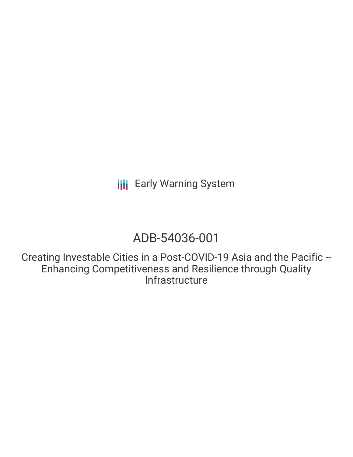# ADB-54036-001

Creating Investable Cities in a Post-COVID-19 Asia and the Pacific -- Enhancing Competitiveness and Resilience through Quality Infrastructure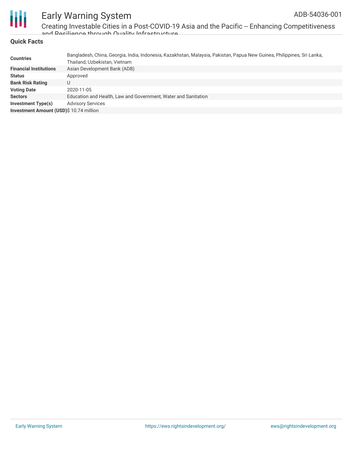

Creating Investable Cities in a Post-COVID-19 Asia and the Pacific -- Enhancing Competitiveness and Resilience through Quality Infrastructure

### **Quick Facts**

| <b>Countries</b>                        | Bangladesh, China, Georgia, India, Indonesia, Kazakhstan, Malaysia, Pakistan, Papua New Guinea, Philippines, Sri Lanka,<br>Thailand, Uzbekistan, Vietnam |
|-----------------------------------------|----------------------------------------------------------------------------------------------------------------------------------------------------------|
| <b>Financial Institutions</b>           | Asian Development Bank (ADB)                                                                                                                             |
| <b>Status</b>                           | Approved                                                                                                                                                 |
| <b>Bank Risk Rating</b>                 | U                                                                                                                                                        |
| <b>Voting Date</b>                      | 2020-11-05                                                                                                                                               |
| <b>Sectors</b>                          | Education and Health, Law and Government, Water and Sanitation                                                                                           |
| Investment Type(s)                      | <b>Advisory Services</b>                                                                                                                                 |
| Investment Amount (USD)\$ 10.74 million |                                                                                                                                                          |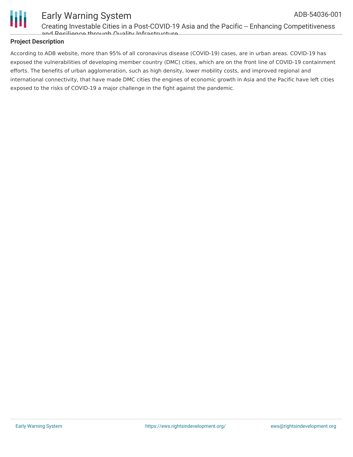

Creating Investable Cities in a Post-COVID-19 Asia and the Pacific -- Enhancing Competitiveness and Resilience through Quality Infrastructure

### **Project Description**

According to ADB website, more than 95% of all coronavirus disease (COVID-19) cases, are in urban areas. COVID-19 has exposed the vulnerabilities of developing member country (DMC) cities, which are on the front line of COVID-19 containment efforts. The benefits of urban agglomeration, such as high density, lower mobility costs, and improved regional and international connectivity, that have made DMC cities the engines of economic growth in Asia and the Pacific have left cities exposed to the risks of COVID-19 a major challenge in the fight against the pandemic.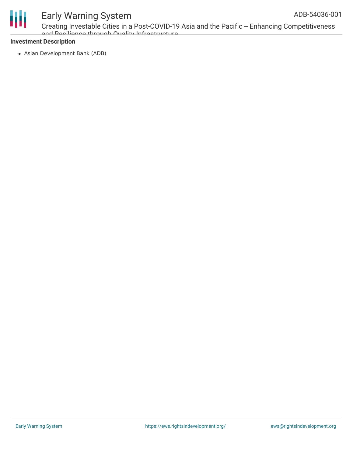

Creating Investable Cities in a Post-COVID-19 Asia and the Pacific -- Enhancing Competitiveness and Resilience through Quality Infrastructure

### **Investment Description**

Asian Development Bank (ADB)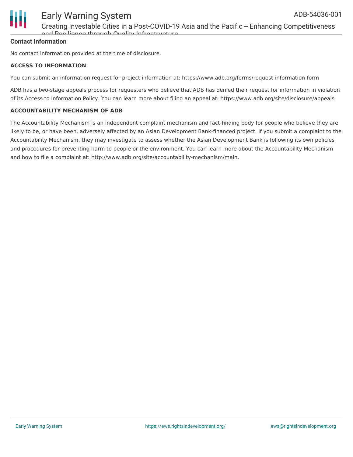

Creating Investable Cities in a Post-COVID-19 Asia and the Pacific -- Enhancing Competitiveness and Resilience through Quality Infrastructure

### **Contact Information**

No contact information provided at the time of disclosure.

#### **ACCESS TO INFORMATION**

You can submit an information request for project information at: https://www.adb.org/forms/request-information-form

ADB has a two-stage appeals process for requesters who believe that ADB has denied their request for information in violation of its Access to Information Policy. You can learn more about filing an appeal at: https://www.adb.org/site/disclosure/appeals

#### **ACCOUNTABILITY MECHANISM OF ADB**

The Accountability Mechanism is an independent complaint mechanism and fact-finding body for people who believe they are likely to be, or have been, adversely affected by an Asian Development Bank-financed project. If you submit a complaint to the Accountability Mechanism, they may investigate to assess whether the Asian Development Bank is following its own policies and procedures for preventing harm to people or the environment. You can learn more about the Accountability Mechanism and how to file a complaint at: http://www.adb.org/site/accountability-mechanism/main.